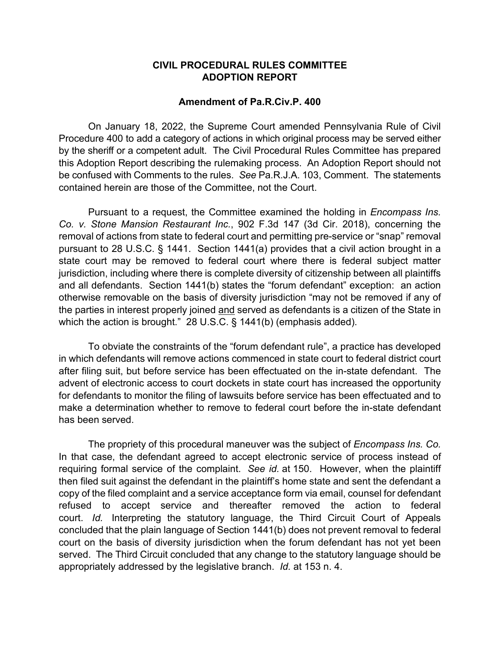## **CIVIL PROCEDURAL RULES COMMITTEE ADOPTION REPORT**

## **Amendment of Pa.R.Civ.P. 400**

On January 18, 2022, the Supreme Court amended Pennsylvania Rule of Civil Procedure 400 to add a category of actions in which original process may be served either by the sheriff or a competent adult. The Civil Procedural Rules Committee has prepared this Adoption Report describing the rulemaking process. An Adoption Report should not be confused with Comments to the rules. *See* Pa.R.J.A. 103, Comment. The statements contained herein are those of the Committee, not the Court.

Pursuant to a request, the Committee examined the holding in *Encompass Ins. Co. v. Stone Mansion Restaurant Inc.*, 902 F.3d 147 (3d Cir. 2018), concerning the removal of actions from state to federal court and permitting pre-service or "snap" removal pursuant to 28 U.S.C. § 1441. Section 1441(a) provides that a civil action brought in a state court may be removed to federal court where there is federal subject matter jurisdiction, including where there is complete diversity of citizenship between all plaintiffs and all defendants. Section 1441(b) states the "forum defendant" exception: an action otherwise removable on the basis of diversity jurisdiction "may not be removed if any of the parties in interest properly joined and served as defendants is a citizen of the State in which the action is brought." 28 U.S.C. § 1441(b) (emphasis added).

To obviate the constraints of the "forum defendant rule", a practice has developed in which defendants will remove actions commenced in state court to federal district court after filing suit, but before service has been effectuated on the in-state defendant. The advent of electronic access to court dockets in state court has increased the opportunity for defendants to monitor the filing of lawsuits before service has been effectuated and to make a determination whether to remove to federal court before the in-state defendant has been served.

The propriety of this procedural maneuver was the subject of *Encompass Ins. Co.*  In that case, the defendant agreed to accept electronic service of process instead of requiring formal service of the complaint. *See id.* at 150. However, when the plaintiff then filed suit against the defendant in the plaintiff's home state and sent the defendant a copy of the filed complaint and a service acceptance form via email, counsel for defendant refused to accept service and thereafter removed the action to federal court. *Id.* Interpreting the statutory language, the Third Circuit Court of Appeals concluded that the plain language of Section 1441(b) does not prevent removal to federal court on the basis of diversity jurisdiction when the forum defendant has not yet been served. The Third Circuit concluded that any change to the statutory language should be appropriately addressed by the legislative branch. *Id.* at 153 n. 4.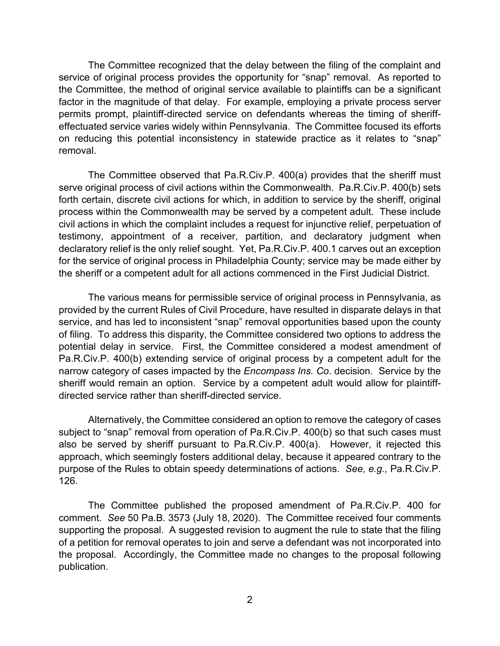The Committee recognized that the delay between the filing of the complaint and service of original process provides the opportunity for "snap" removal. As reported to the Committee, the method of original service available to plaintiffs can be a significant factor in the magnitude of that delay. For example, employing a private process server permits prompt, plaintiff-directed service on defendants whereas the timing of sheriffeffectuated service varies widely within Pennsylvania. The Committee focused its efforts on reducing this potential inconsistency in statewide practice as it relates to "snap" removal.

The Committee observed that Pa.R.Civ.P. 400(a) provides that the sheriff must serve original process of civil actions within the Commonwealth. Pa.R.Civ.P. 400(b) sets forth certain, discrete civil actions for which, in addition to service by the sheriff, original process within the Commonwealth may be served by a competent adult. These include civil actions in which the complaint includes a request for injunctive relief, perpetuation of testimony, appointment of a receiver, partition, and declaratory judgment when declaratory relief is the only relief sought. Yet, Pa.R.Civ.P. 400.1 carves out an exception for the service of original process in Philadelphia County; service may be made either by the sheriff or a competent adult for all actions commenced in the First Judicial District.

The various means for permissible service of original process in Pennsylvania, as provided by the current Rules of Civil Procedure, have resulted in disparate delays in that service, and has led to inconsistent "snap" removal opportunities based upon the county of filing. To address this disparity, the Committee considered two options to address the potential delay in service. First, the Committee considered a modest amendment of Pa.R.Civ.P. 400(b) extending service of original process by a competent adult for the narrow category of cases impacted by the *Encompass Ins. Co*. decision. Service by the sheriff would remain an option. Service by a competent adult would allow for plaintiffdirected service rather than sheriff-directed service.

Alternatively, the Committee considered an option to remove the category of cases subject to "snap" removal from operation of Pa.R.Civ.P. 400(b) so that such cases must also be served by sheriff pursuant to Pa.R.Civ.P. 400(a). However, it rejected this approach, which seemingly fosters additional delay, because it appeared contrary to the purpose of the Rules to obtain speedy determinations of actions. *See, e.g.,* Pa.R.Civ.P. 126.

The Committee published the proposed amendment of Pa.R.Civ.P. 400 for comment. *See* 50 Pa.B. 3573 (July 18, 2020). The Committee received four comments supporting the proposal. A suggested revision to augment the rule to state that the filing of a petition for removal operates to join and serve a defendant was not incorporated into the proposal. Accordingly, the Committee made no changes to the proposal following publication.